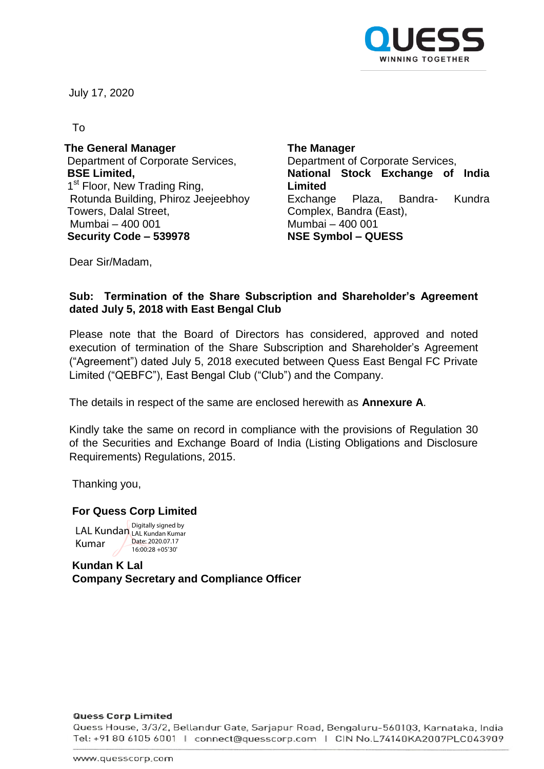

July 17, 2020

To

**The General Manager** Department of Corporate Services, **BSE Limited,** 1<sup>st</sup> Floor, New Trading Ring, Rotunda Building, Phiroz Jeejeebhoy Towers, Dalal Street, Mumbai – 400 001 **Security Code – 539978 NSE Symbol – QUESS**

**The Manager** Department of Corporate Services, **National Stock Exchange of India Limited** Exchange Plaza, Bandra- Kundra Complex, Bandra (East), Mumbai – 400 001

Dear Sir/Madam,

## **Sub: Termination of the Share Subscription and Shareholder's Agreement dated July 5, 2018 with East Bengal Club**

Please note that the Board of Directors has considered, approved and noted execution of termination of the Share Subscription and Shareholder's Agreement ("Agreement") dated July 5, 2018 executed between Quess East Bengal FC Private Limited ("QEBFC"), East Bengal Club ("Club") and the Company.

The details in respect of the same are enclosed herewith as **Annexure A**.

Kindly take the same on record in compliance with the provisions of Regulation 30 of the Securities and Exchange Board of India (Listing Obligations and Disclosure Requirements) Regulations, 2015.

Thanking you,

## **For Quess Corp Limited**

LAL Kundan LAL Kundan Kumar Kumar Digitally signed by Date: 2020.07.17 16:00:28 +05'30'

**Kundan K Lal Company Secretary and Compliance Officer**

### **Quess Corp Limited**

Quess House, 3/3/2, Bellandur Gate, Sarjapur Road, Bengaluru-560103, Karnataka, India Tel: +91 80 6105 6001 | connect@quesscorp.com | CIN No.L74140KA2007PLC043909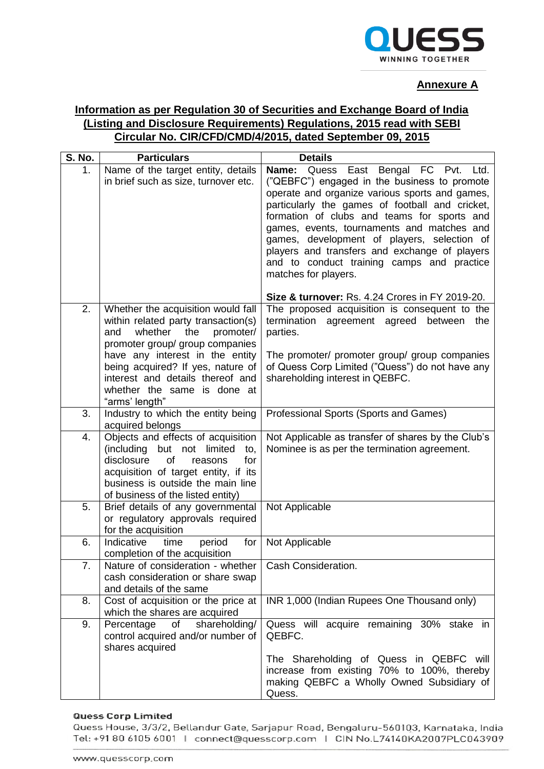

### **Annexure A**

# **Information as per Regulation 30 of Securities and Exchange Board of India (Listing and Disclosure Requirements) Regulations, 2015 read with SEBI Circular No. CIR/CFD/CMD/4/2015, dated September 09, 2015**

| <b>S. No.</b>    | <b>Particulars</b>                                                                                                                                                                                                                                                                                              | <b>Details</b>                                                                                                                                                                                                                                                                                                                                                                                                                                                     |
|------------------|-----------------------------------------------------------------------------------------------------------------------------------------------------------------------------------------------------------------------------------------------------------------------------------------------------------------|--------------------------------------------------------------------------------------------------------------------------------------------------------------------------------------------------------------------------------------------------------------------------------------------------------------------------------------------------------------------------------------------------------------------------------------------------------------------|
| 1.               | Name of the target entity, details<br>in brief such as size, turnover etc.                                                                                                                                                                                                                                      | Name: Quess<br>East Bengal FC Pvt.<br>Ltd.<br>("QEBFC") engaged in the business to promote<br>operate and organize various sports and games,<br>particularly the games of football and cricket,<br>formation of clubs and teams for sports and<br>games, events, tournaments and matches and<br>games, development of players, selection of<br>players and transfers and exchange of players<br>and to conduct training camps and practice<br>matches for players. |
| $\overline{2}$ . |                                                                                                                                                                                                                                                                                                                 | Size & turnover: Rs. 4.24 Crores in FY 2019-20.                                                                                                                                                                                                                                                                                                                                                                                                                    |
|                  | Whether the acquisition would fall<br>within related party transaction(s)<br>whether<br>the<br>promoter/<br>and<br>promoter group/ group companies<br>have any interest in the entity<br>being acquired? If yes, nature of<br>interest and details thereof and<br>whether the same is done at<br>"arms' length" | The proposed acquisition is consequent to the<br>termination<br>agreement agreed between<br>the<br>parties.<br>The promoter/ promoter group/ group companies<br>of Quess Corp Limited ("Quess") do not have any<br>shareholding interest in QEBFC.                                                                                                                                                                                                                 |
| 3.               | Industry to which the entity being<br>acquired belongs                                                                                                                                                                                                                                                          | Professional Sports (Sports and Games)                                                                                                                                                                                                                                                                                                                                                                                                                             |
| 4.               | Objects and effects of acquisition<br>(including<br>but not limited<br>to,<br>disclosure<br>of<br>for<br>reasons<br>acquisition of target entity, if its<br>business is outside the main line<br>of business of the listed entity)                                                                              | Not Applicable as transfer of shares by the Club's<br>Nominee is as per the termination agreement.                                                                                                                                                                                                                                                                                                                                                                 |
| 5.               | Brief details of any governmental<br>or regulatory approvals required<br>for the acquisition                                                                                                                                                                                                                    | Not Applicable                                                                                                                                                                                                                                                                                                                                                                                                                                                     |
| 6.               | Indicative<br>time<br>for<br>period<br>completion of the acquisition                                                                                                                                                                                                                                            | Not Applicable                                                                                                                                                                                                                                                                                                                                                                                                                                                     |
| 7.               | Nature of consideration - whether<br>cash consideration or share swap<br>and details of the same                                                                                                                                                                                                                | Cash Consideration.                                                                                                                                                                                                                                                                                                                                                                                                                                                |
| 8.               | Cost of acquisition or the price at<br>which the shares are acquired                                                                                                                                                                                                                                            | INR 1,000 (Indian Rupees One Thousand only)                                                                                                                                                                                                                                                                                                                                                                                                                        |
| 9.               | shareholding/<br>Percentage<br>of<br>control acquired and/or number of<br>shares acquired                                                                                                                                                                                                                       | Quess will acquire remaining 30% stake in<br>QEBFC.<br>The Shareholding of Quess in QEBFC will<br>increase from existing 70% to 100%, thereby<br>making QEBFC a Wholly Owned Subsidiary of<br>Quess.                                                                                                                                                                                                                                                               |

### **Quess Corp Limited**

Quess House, 3/3/2, Bellandur Gate, Sarjapur Road, Bengaluru-560103, Karnataka, India Tel: +91 80 6105 6001 | connect@quesscorp.com | CIN No.L74140KA2007PLC043909